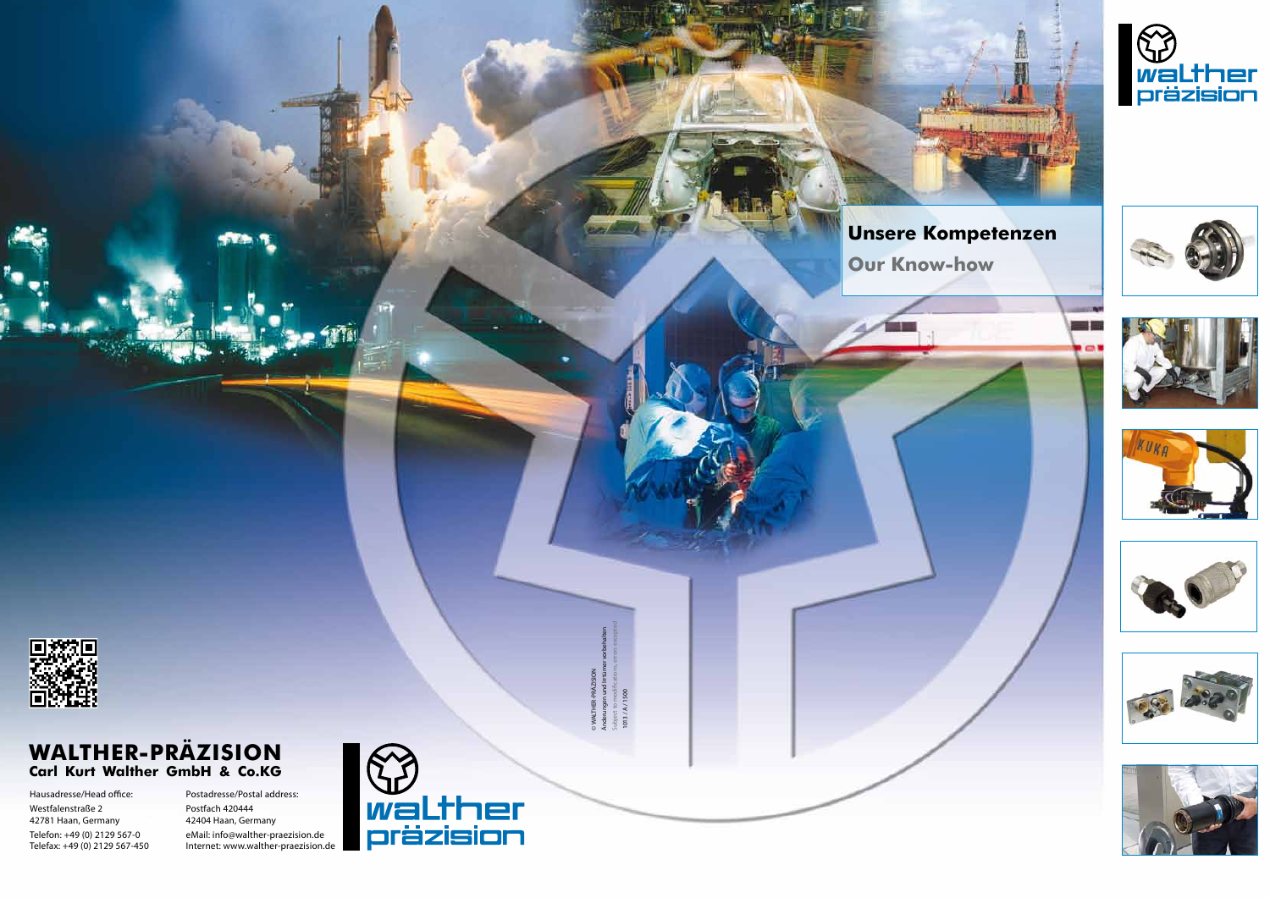

## **WALTHER-PRÄZISION Carl Kurt Walther GmbH & Co.KG**

Hausadresse/Head office: Westfalenstraße 2 42781 Haan, Germany Telefon: +49 (0) 2129 567-0 Telefax: +49 (0) 2129 567-450 Postadresse/Postal address: Postfach 420444 42404 Haan, Germany eMail: info@walther-praezision.de Internet: www.walther-praezision.de



# **Unsere Kompetenzen**

 **Our Know-how**





















© WALTHER-PRÄZISION Änderungen und Irrtümer vorbehalten Subject to modifications, errors excepted 1013 / A / 1500